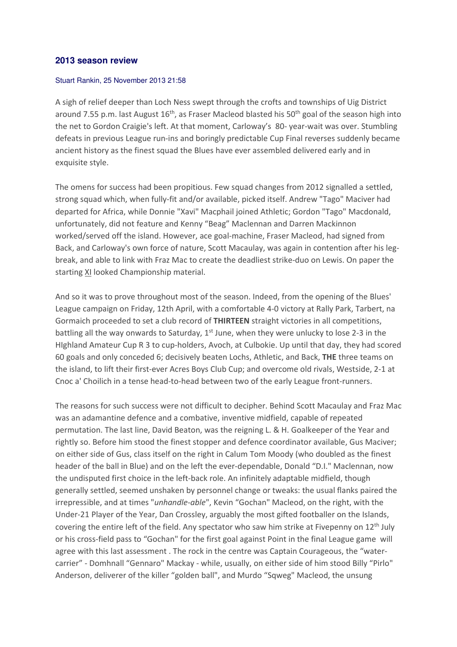## **2013 season review**

## Stuart Rankin, 25 November 2013 21:58

A sigh of relief deeper than Loch Ness swept through the crofts and townships of Uig District around 7.55 p.m. last August  $16<sup>th</sup>$ , as Fraser Macleod blasted his 50<sup>th</sup> goal of the season high into the net to Gordon Craigie's left. At that moment, Carloway's 80- year-wait was over. Stumbling defeats in previous League run-ins and boringly predictable Cup Final reverses suddenly became ancient history as the finest squad the Blues have ever assembled delivered early and in exquisite style.

The omens for success had been propitious. Few squad changes from 2012 signalled a settled, strong squad which, when fully-fit and/or available, picked itself. Andrew "Tago" Maciver had departed for Africa, while Donnie "Xavi" Macphail joined Athletic; Gordon "Tago" Macdonald, unfortunately, did not feature and Kenny "Beag" Maclennan and Darren Mackinnon worked/served off the island. However, ace goal-machine, Fraser Macleod, had signed from Back, and Carloway's own force of nature, Scott Macaulay, was again in contention after his legbreak, and able to link with Fraz Mac to create the deadliest strike-duo on Lewis. On paper the starting XI looked Championship material.

And so it was to prove throughout most of the season. Indeed, from the opening of the Blues' League campaign on Friday, 12th April, with a comfortable 4-0 victory at Rally Park, Tarbert, na Gormaich proceeded to set a club record of THIRTEEN straight victories in all competitions, battling all the way onwards to Saturday,  $1<sup>st</sup>$  June, when they were unlucky to lose 2-3 in the HIghland Amateur Cup R 3 to cup-holders, Avoch, at Culbokie. Up until that day, they had scored 60 goals and only conceded 6; decisively beaten Lochs, Athletic, and Back, THE three teams on the island, to lift their first-ever Acres Boys Club Cup; and overcome old rivals, Westside, 2-1 at Cnoc a' Choilich in a tense head-to-head between two of the early League front-runners.

The reasons for such success were not difficult to decipher. Behind Scott Macaulay and Fraz Mac was an adamantine defence and a combative, inventive midfield, capable of repeated permutation. The last line, David Beaton, was the reigning L. & H. Goalkeeper of the Year and rightly so. Before him stood the finest stopper and defence coordinator available, Gus Maciver; on either side of Gus, class itself on the right in Calum Tom Moody (who doubled as the finest header of the ball in Blue) and on the left the ever-dependable, Donald "D.I." Maclennan, now the undisputed first choice in the left-back role. An infinitely adaptable midfield, though generally settled, seemed unshaken by personnel change or tweaks: the usual flanks paired the irrepressible, and at times "unhandle-able", Kevin "Gochan" Macleod, on the right, with the Under-21 Player of the Year, Dan Crossley, arguably the most gifted footballer on the Islands, covering the entire left of the field. Any spectator who saw him strike at Fivepenny on  $12<sup>th</sup>$  July or his cross-field pass to "Gochan" for the first goal against Point in the final League game will agree with this last assessment . The rock in the centre was Captain Courageous, the "watercarrier" - Domhnall "Gennaro" Mackay - while, usually, on either side of him stood Billy "Pirlo" Anderson, deliverer of the killer "golden ball", and Murdo "Sqweg" Macleod, the unsung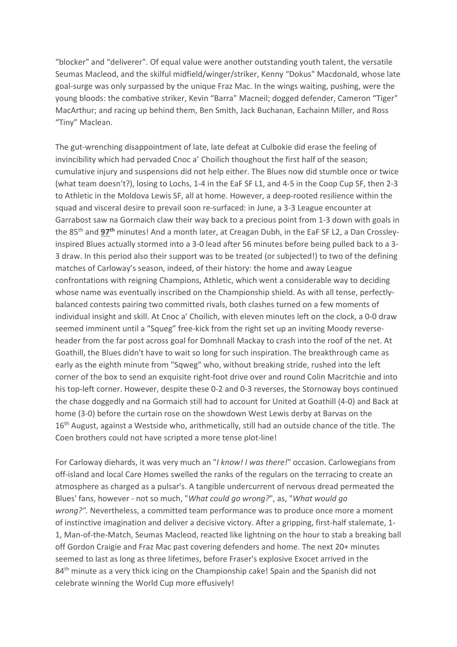"blocker" and "deliverer". Of equal value were another outstanding youth talent, the versatile Seumas Macleod, and the skilful midfield/winger/striker, Kenny "Dokus" Macdonald, whose late goal-surge was only surpassed by the unique Fraz Mac. In the wings waiting, pushing, were the young bloods: the combative striker, Kevin "Barra" Macneil; dogged defender, Cameron "Tiger" MacArthur; and racing up behind them, Ben Smith, Jack Buchanan, Eachainn Miller, and Ross "Tiny" Maclean.

The gut-wrenching disappointment of late, late defeat at Culbokie did erase the feeling of invincibility which had pervaded Cnoc a' Choilich thoughout the first half of the season; cumulative injury and suspensions did not help either. The Blues now did stumble once or twice (what team doesn't?), losing to Lochs, 1-4 in the EaF SF L1, and 4-5 in the Coop Cup SF, then 2-3 to Athletic in the Moldova Lewis SF, all at home. However, a deep-rooted resilience within the squad and visceral desire to prevail soon re-surfaced: in June, a 3-3 League encounter at Garrabost saw na Gormaich claw their way back to a precious point from 1-3 down with goals in the 85<sup>th</sup> and 97<sup>th</sup> minutes! And a month later, at Creagan Dubh, in the EaF SF L2, a Dan Crossleyinspired Blues actually stormed into a 3-0 lead after 56 minutes before being pulled back to a 3- 3 draw. In this period also their support was to be treated (or subjected!) to two of the defining matches of Carloway's season, indeed, of their history: the home and away League confrontations with reigning Champions, Athletic, which went a considerable way to deciding whose name was eventually inscribed on the Championship shield. As with all tense, perfectlybalanced contests pairing two committed rivals, both clashes turned on a few moments of individual insight and skill. At Cnoc a' Choilich, with eleven minutes left on the clock, a 0-0 draw seemed imminent until a "Squeg" free-kick from the right set up an inviting Moody reverseheader from the far post across goal for Domhnall Mackay to crash into the roof of the net. At Goathill, the Blues didn't have to wait so long for such inspiration. The breakthrough came as early as the eighth minute from "Sqweg" who, without breaking stride, rushed into the left corner of the box to send an exquisite right-foot drive over and round Colin Macritchie and into his top-left corner. However, despite these 0-2 and 0-3 reverses, the Stornoway boys continued the chase doggedly and na Gormaich still had to account for United at Goathill (4-0) and Back at home (3-0) before the curtain rose on the showdown West Lewis derby at Barvas on the 16<sup>th</sup> August, against a Westside who, arithmetically, still had an outside chance of the title. The Coen brothers could not have scripted a more tense plot-line!

For Carloway diehards, it was very much an "I know! I was there!" occasion. Carlowegians from off-island and local Care Homes swelled the ranks of the regulars on the terracing to create an atmosphere as charged as a pulsar's. A tangible undercurrent of nervous dread permeated the Blues' fans, however - not so much, "What could go wrong?", as, "What would go wrong?". Nevertheless, a committed team performance was to produce once more a moment of instinctive imagination and deliver a decisive victory. After a gripping, first-half stalemate, 1- 1, Man-of-the-Match, Seumas Macleod, reacted like lightning on the hour to stab a breaking ball off Gordon Craigie and Fraz Mac past covering defenders and home. The next 20+ minutes seemed to last as long as three lifetimes, before Fraser's explosive Exocet arrived in the 84<sup>th</sup> minute as a very thick icing on the Championship cake! Spain and the Spanish did not celebrate winning the World Cup more effusively!